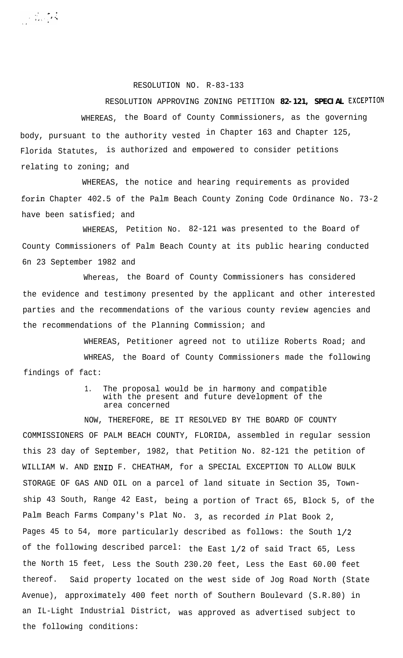RESOLUTION NO. R-83-133

**Collective** 

## RESOLUTION APPROVING ZONING PETITION **82-121, SPECIAL EXCEPTION** WHEREAS, the Board of County Commissioners, as the governing body, pursuant to the authority vested in Chapter 163 and Chapter 125, Florida Statutes, is authorized and empowered to consider petitions relating to zoning; and

WHEREAS, the notice and hearing requirements as provided forin Chapter 402.5 of the Palm Beach County Zoning Code Ordinance No. 73-2 have been satisfied; and

WHEREAS, Petition No. 82-121 was presented to the Board of County Commissioners of Palm Beach County at its public hearing conducted 6n 23 September 1982 and

Whereas, the Board of County Commissioners has considered the evidence and testimony presented by the applicant and other interested parties and the recommendations of the various county review agencies and the recommendations of the Planning Commission; and

WHEREAS, Petitioner agreed not to utilize Roberts Road; and WHREAS, the Board of County Commissioners made the following findings of fact:

## 1. The proposal would be in harmony and compatible with the present and future development of the area concerned

NOW, THEREFORE, BE IT RESOLVED BY THE BOARD OF COUNTY COMMISSIONERS OF PALM BEACH COUNTY, FLORIDA, assembled in regular session this 23 day of September, 1982, that Petition No. 82-121 the petition of WILLIAM W. AND ENID F. CHEATHAM, for a SPECIAL EXCEPTION TO ALLOW BULK STORAGE OF GAS AND OIL on a parcel of land situate in Section 35, Town- , ship 43 South, Range 42 East, being a portion of Tract 65, Block 5, of the Palm Beach Farms Company's Plat No. 3, as recorded *in* Plat Book 2, Pages 45 to 54, more particularly described as follows: the South l/2 of the following described parcel: the East l/2 of said Tract 65, Less the North 15 feet, Less the South 230.20 feet, Less the East 60.00 feet thereof. Said property located on the west side of Jog Road North (State Avenue), approximately 400 feet north of Southern Boulevard (S.R.80) in an IL-Light Industrial District, was approved as advertised subject to the following conditions: